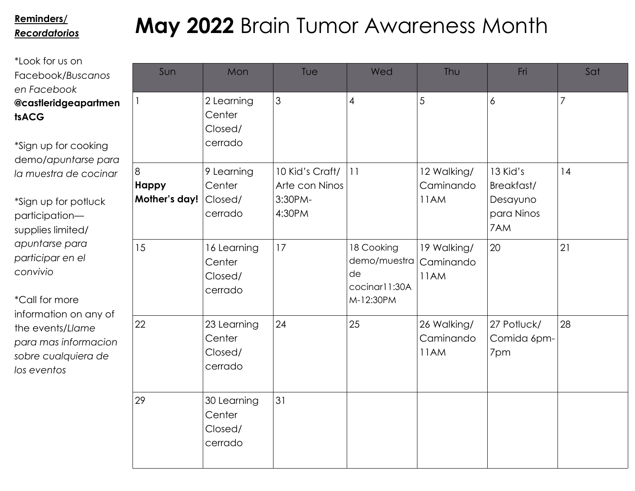## *Recordatorios*

# **May 2022** Brain Tumor Awareness Month **Reminders/**

| <b>tsACG</b>         |
|----------------------|
| @castleridgeapartmen |
| en Facebook          |
| Facebook/Buscanos    |
| *Look for us on      |

\*Sign up for cooking demo/*apuntarse para la muestra de cocinar*

\*Sign up for potluck participation supplies limited/ *apuntarse para participar en el convivio*

\*Call for more information on any of the events/*Llame para mas informacion sobre cualquiera de los eventos*

|        | Sun                                       | Mon                                         | Tue                                                    | Wed                                                            | Thu                              | Fri                                                     | Sat            |
|--------|-------------------------------------------|---------------------------------------------|--------------------------------------------------------|----------------------------------------------------------------|----------------------------------|---------------------------------------------------------|----------------|
| n<br>J |                                           | 2 Learning<br>Center<br>Closed/<br>cerrado  | 3                                                      | $\overline{\mathcal{A}}$                                       | 5                                | 6                                                       | $\overline{7}$ |
|        | $\delta$<br><b>Happy</b><br>Mother's day! | 9 Learning<br>Center<br>Closed/<br>cerrado  | 10 Kid's Craft/<br>Arte con Ninos<br>3:30PM-<br>4:30PM | 11                                                             | 12 Walking/<br>Caminando<br>11AM | 13 Kid's<br>Breakfast/<br>Desayuno<br>para Ninos<br>7AM | 4              |
|        | 15                                        | 16 Learning<br>Center<br>Closed/<br>cerrado | 17                                                     | 18 Cooking<br>demo/muestra<br>de<br>cocinar11:30A<br>M-12:30PM | 19 Walking/<br>Caminando<br>11AM | 20                                                      | 21             |
|        | 22                                        | 23 Learning<br>Center<br>Closed/<br>cerrado | 24                                                     | 25                                                             | 26 Walking/<br>Caminando<br>11AM | 27 Potluck/<br>Comida 6pm-<br>7pm                       | 28             |
|        | 29                                        | 30 Learning<br>Center<br>Closed/<br>cerrado | 31                                                     |                                                                |                                  |                                                         |                |